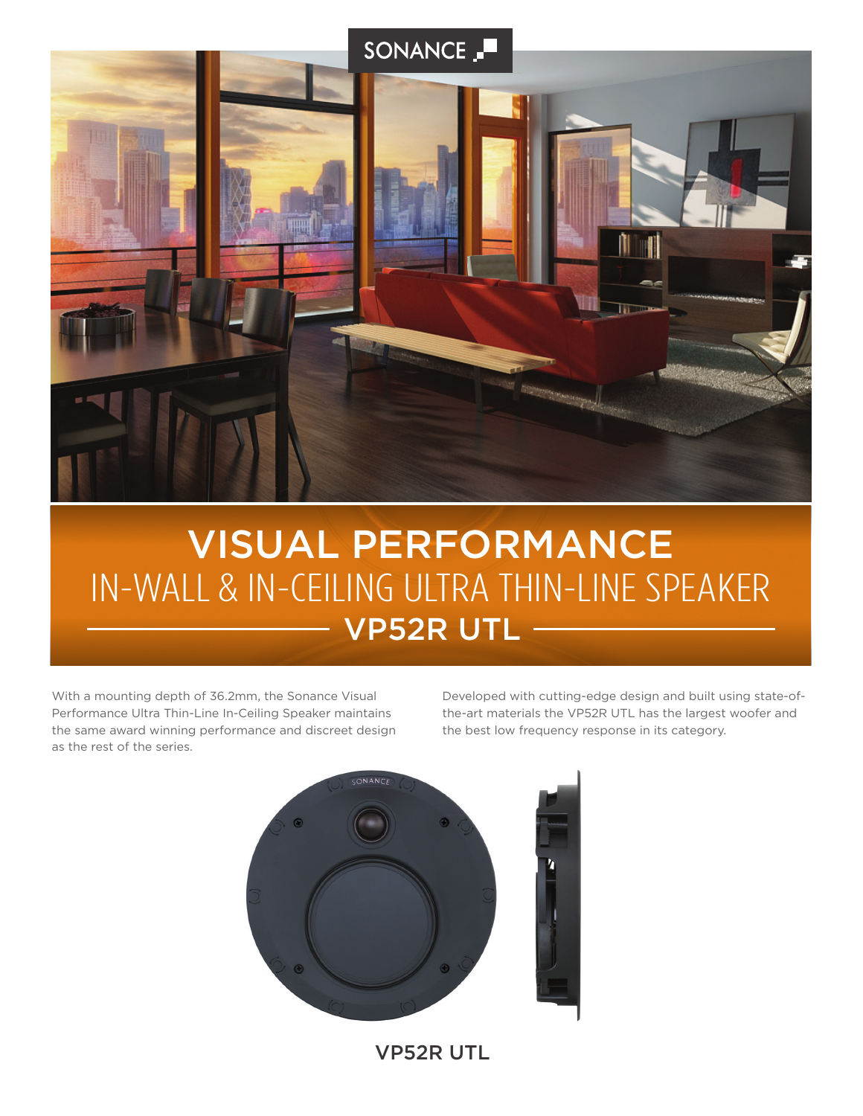

# VP52R UTL IN-WALL & IN-CEILING ULTRA THIN-LINE SPEAKER VISUAL PERFORMANCE

With a mounting depth of 36.2mm, the Sonance Visual Performance Ultra Thin-Line In-Ceiling Speaker maintains the same award winning performance and discreet design as the rest of the series.

Developed with cutting-edge design and built using state-ofthe-art materials the VP52R UTL has the largest woofer and the best low frequency response in its category.



VP52R UTL